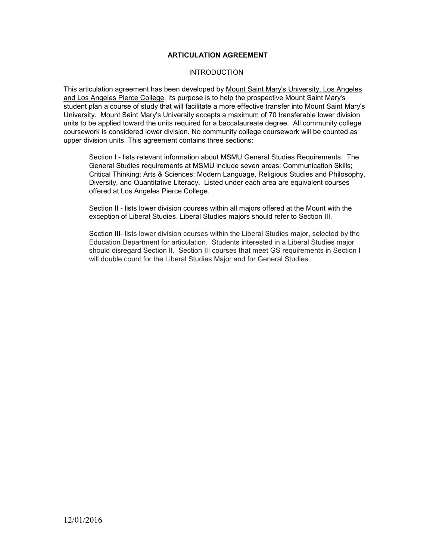### **ARTICULATION AGREEMENT**

### **INTRODUCTION**

This articulation agreement has been developed by Mount Saint Mary's University, Los Angeles and Los Angeles Pierce College. Its purpose is to help the prospective Mount Saint Mary's student plan a course of study that will facilitate a more effective transfer into Mount Saint Mary's University. Mount Saint Mary's University accepts a maximum of 70 transferable lower division units to be applied toward the units required for a baccalaureate degree. All community college coursework is considered lower division. No community college coursework will be counted as upper division units. This agreement contains three sections:

Section I - lists relevant information about MSMU General Studies Requirements. The General Studies requirements at MSMU include seven areas: Communication Skills; Critical Thinking; Arts & Sciences; Modern Language, Religious Studies and Philosophy, Diversity, and Quantitative Literacy. Listed under each area are equivalent courses offered at Los Angeles Pierce College.

Section II - lists lower division courses within all majors offered at the Mount with the exception of Liberal Studies. Liberal Studies majors should refer to Section III.

Section III- lists lower division courses within the Liberal Studies major, selected by the Education Department for articulation. Students interested in a Liberal Studies major should disregard Section II. Section III courses that meet GS requirements in Section I will double count for the Liberal Studies Major and for General Studies.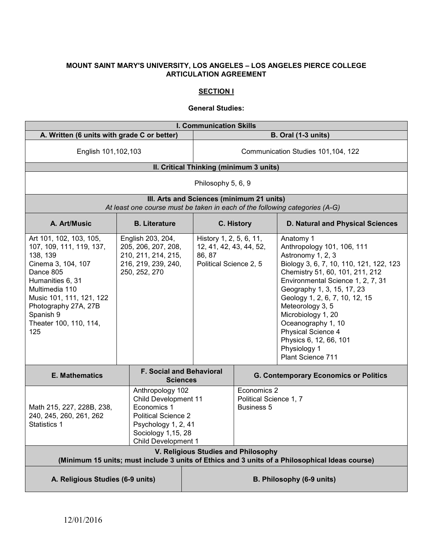### **MOUNT SAINT MARY'S UNIVERSITY, LOS ANGELES – LOS ANGELES PIERCE COLLEGE ARTICULATION AGREEMENT**

## **SECTION I**

### **General Studies:**

| <b>I. Communication Skills</b>                                                                                                                                                                                                             |  |                                                                                                                                                                         |                                                                                        |                                                            |                                                                                                                                                                                                                                                                                                                                                                                                      |
|--------------------------------------------------------------------------------------------------------------------------------------------------------------------------------------------------------------------------------------------|--|-------------------------------------------------------------------------------------------------------------------------------------------------------------------------|----------------------------------------------------------------------------------------|------------------------------------------------------------|------------------------------------------------------------------------------------------------------------------------------------------------------------------------------------------------------------------------------------------------------------------------------------------------------------------------------------------------------------------------------------------------------|
| A. Written (6 units with grade C or better)                                                                                                                                                                                                |  |                                                                                                                                                                         | <b>B. Oral (1-3 units)</b>                                                             |                                                            |                                                                                                                                                                                                                                                                                                                                                                                                      |
| English 101,102,103                                                                                                                                                                                                                        |  |                                                                                                                                                                         | Communication Studies 101,104, 122                                                     |                                                            |                                                                                                                                                                                                                                                                                                                                                                                                      |
|                                                                                                                                                                                                                                            |  |                                                                                                                                                                         | II. Critical Thinking (minimum 3 units)                                                |                                                            |                                                                                                                                                                                                                                                                                                                                                                                                      |
| Philosophy 5, 6, 9                                                                                                                                                                                                                         |  |                                                                                                                                                                         |                                                                                        |                                                            |                                                                                                                                                                                                                                                                                                                                                                                                      |
|                                                                                                                                                                                                                                            |  |                                                                                                                                                                         | III. Arts and Sciences (minimum 21 units)                                              |                                                            | At least one course must be taken in each of the following categories (A-G)                                                                                                                                                                                                                                                                                                                          |
| A. Art/Music                                                                                                                                                                                                                               |  | <b>B.</b> Literature                                                                                                                                                    |                                                                                        | C. History                                                 | D. Natural and Physical Sciences                                                                                                                                                                                                                                                                                                                                                                     |
| Art 101, 102, 103, 105,<br>107, 109, 111, 119, 137,<br>138, 139<br>Cinema 3, 104, 107<br>Dance 805<br>Humanities 6, 31<br>Multimedia 110<br>Music 101, 111, 121, 122<br>Photography 27A, 27B<br>Spanish 9<br>Theater 100, 110, 114,<br>125 |  | English 203, 204,<br>205, 206, 207, 208,<br>210, 211, 214, 215,<br>216, 219, 239, 240,<br>250, 252, 270                                                                 | History 1, 2, 5, 6, 11,<br>12, 41, 42, 43, 44, 52,<br>86, 87<br>Political Science 2, 5 |                                                            | Anatomy 1<br>Anthropology 101, 106, 111<br>Astronomy 1, 2, 3<br>Biology 3, 6, 7, 10, 110, 121, 122, 123<br>Chemistry 51, 60, 101, 211, 212<br>Environmental Science 1, 2, 7, 31<br>Geography 1, 3, 15, 17, 23<br>Geology 1, 2, 6, 7, 10, 12, 15<br>Meteorology 3, 5<br>Microbiology 1, 20<br>Oceanography 1, 10<br>Physical Science 4<br>Physics 6, 12, 66, 101<br>Physiology 1<br>Plant Science 711 |
| <b>E. Mathematics</b>                                                                                                                                                                                                                      |  | <b>F. Social and Behavioral</b><br><b>Sciences</b>                                                                                                                      |                                                                                        |                                                            | <b>G. Contemporary Economics or Politics</b>                                                                                                                                                                                                                                                                                                                                                         |
| Math 215, 227, 228B, 238,<br>240, 245, 260, 261, 262<br>Statistics 1                                                                                                                                                                       |  | Anthropology 102<br><b>Child Development 11</b><br>Economics 1<br><b>Political Science 2</b><br>Psychology 1, 2, 41<br>Sociology 1,15, 28<br><b>Child Development 1</b> |                                                                                        | Economics 2<br>Political Science 1, 7<br><b>Business 5</b> |                                                                                                                                                                                                                                                                                                                                                                                                      |
| V. Religious Studies and Philosophy<br>(Minimum 15 units; must include 3 units of Ethics and 3 units of a Philosophical Ideas course)                                                                                                      |  |                                                                                                                                                                         |                                                                                        |                                                            |                                                                                                                                                                                                                                                                                                                                                                                                      |
| A. Religious Studies (6-9 units)                                                                                                                                                                                                           |  |                                                                                                                                                                         |                                                                                        | B. Philosophy (6-9 units)                                  |                                                                                                                                                                                                                                                                                                                                                                                                      |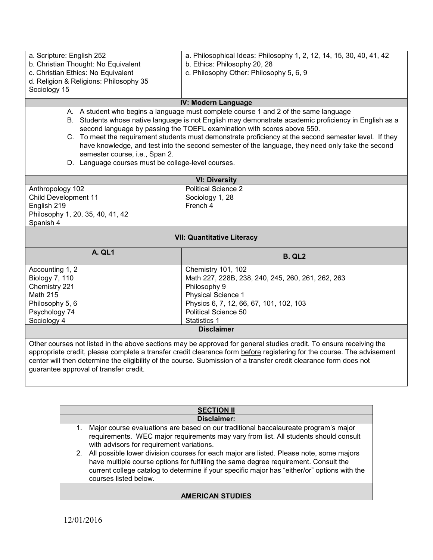| a. Scripture: English 252                                                                                                                                                                                                                     |                                                 | a. Philosophical Ideas: Philosophy 1, 2, 12, 14, 15, 30, 40, 41, 42                  |
|-----------------------------------------------------------------------------------------------------------------------------------------------------------------------------------------------------------------------------------------------|-------------------------------------------------|--------------------------------------------------------------------------------------|
| b. Christian Thought: No Equivalent                                                                                                                                                                                                           |                                                 | b. Ethics: Philosophy 20, 28                                                         |
|                                                                                                                                                                                                                                               | c. Christian Ethics: No Equivalent              | c. Philosophy Other: Philosophy 5, 6, 9                                              |
|                                                                                                                                                                                                                                               | d. Religion & Religions: Philosophy 35          |                                                                                      |
| Sociology 15                                                                                                                                                                                                                                  |                                                 |                                                                                      |
|                                                                                                                                                                                                                                               |                                                 | <b>IV: Modern Language</b>                                                           |
|                                                                                                                                                                                                                                               |                                                 | A. A student who begins a language must complete course 1 and 2 of the same language |
| Students whose native language is not English may demonstrate academic proficiency in English as a<br>В.<br>second language by passing the TOEFL examination with scores above 550.                                                           |                                                 |                                                                                      |
| C. To meet the requirement students must demonstrate proficiency at the second semester level. If they<br>have knowledge, and test into the second semester of the language, they need only take the second<br>semester course, i.e., Span 2. |                                                 |                                                                                      |
| D.                                                                                                                                                                                                                                            | Language courses must be college-level courses. |                                                                                      |

| <b>VI: Diversity</b>             |                                                   |  |
|----------------------------------|---------------------------------------------------|--|
| Anthropology 102                 | <b>Political Science 2</b>                        |  |
| Child Development 11             | Sociology 1, 28                                   |  |
| English 219                      | French 4                                          |  |
| Philosophy 1, 20, 35, 40, 41, 42 |                                                   |  |
| Spanish 4                        |                                                   |  |
|                                  | <b>VII: Quantitative Literacy</b>                 |  |
|                                  |                                                   |  |
| <b>A. QL1</b>                    | <b>B. QL2</b>                                     |  |
| Accounting 1, 2                  | Chemistry 101, 102                                |  |
| <b>Biology 7, 110</b>            | Math 227, 228B, 238, 240, 245, 260, 261, 262, 263 |  |
| Chemistry 221                    | Philosophy 9                                      |  |
| <b>Math 215</b>                  | <b>Physical Science 1</b>                         |  |
| Philosophy 5, 6                  | Physics 6, 7, 12, 66, 67, 101, 102, 103           |  |
| Psychology 74                    | <b>Political Science 50</b>                       |  |
| Sociology 4                      | Statistics 1                                      |  |
| <b>Disclaimer</b>                |                                                   |  |
|                                  |                                                   |  |

appropriate credit, please complete a transfer credit clearance form <u>before</u> registering for the course. The advisement center will then determine the eligibility of the course. Submission of a transfer credit clearance form does not guarantee approval of transfer credit.

| <b>SECTION II</b>       |                                                                                                                                                                                                                                                                                                             |  |
|-------------------------|-------------------------------------------------------------------------------------------------------------------------------------------------------------------------------------------------------------------------------------------------------------------------------------------------------------|--|
|                         | Disclaimer:                                                                                                                                                                                                                                                                                                 |  |
| 1.                      | Major course evaluations are based on our traditional baccalaureate program's major<br>requirements. WEC major requirements may vary from list. All students should consult<br>with advisors for requirement variations.                                                                                    |  |
|                         | 2. All possible lower division courses for each major are listed. Please note, some majors<br>have multiple course options for fulfilling the same degree requirement. Consult the<br>current college catalog to determine if your specific major has "either/or" options with the<br>courses listed below. |  |
| <b>AMERICAN STUDIES</b> |                                                                                                                                                                                                                                                                                                             |  |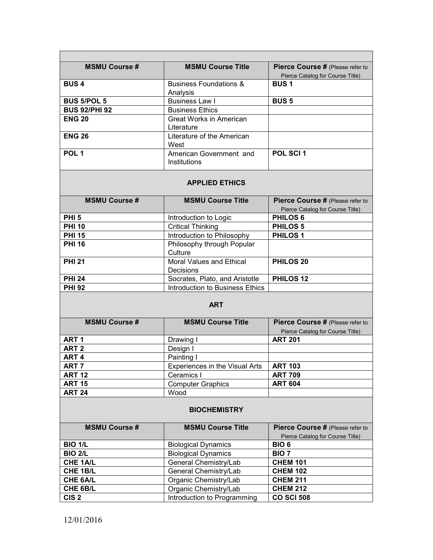| <b>MSMU Course Title</b>          | Pierce Course # (Please refer to |
|-----------------------------------|----------------------------------|
|                                   | Pierce Catalog for Course Title) |
| <b>Business Foundations &amp;</b> | <b>BUS1</b>                      |
| Analysis                          |                                  |
| <b>Business Law I</b>             | <b>BUS 5</b>                     |
| <b>Business Ethics</b>            |                                  |
| Great Works in American           |                                  |
| Literature                        |                                  |
| Literature of the American        |                                  |
| West                              |                                  |
| American Government and           | POL SCI 1                        |
| Institutions                      |                                  |
|                                   |                                  |

# **APPLIED ETHICS**

| <b>MSMU Course #</b> | <b>MSMU Course Title</b>        | Pierce Course # (Please refer to |
|----------------------|---------------------------------|----------------------------------|
|                      |                                 | Pierce Catalog for Course Title) |
| PHI <sub>5</sub>     | Introduction to Logic           | <b>PHILOS 6</b>                  |
| <b>PHI 10</b>        | <b>Critical Thinking</b>        | <b>PHILOS 5</b>                  |
| <b>PHI 15</b>        | Introduction to Philosophy      | <b>PHILOS1</b>                   |
| <b>PHI 16</b>        | Philosophy through Popular      |                                  |
|                      | Culture                         |                                  |
| <b>PHI 21</b>        | Moral Values and Ethical        | <b>PHILOS 20</b>                 |
|                      | Decisions                       |                                  |
| <b>PHI 24</b>        | Socrates, Plato, and Aristotle  | PHILOS <sub>12</sub>             |
| <b>PHI 92</b>        | Introduction to Business Ethics |                                  |

### **ART**

| <b>MSMU Course #</b> | <b>MSMU Course Title</b>       | Pierce Course # (Please refer to |
|----------------------|--------------------------------|----------------------------------|
|                      |                                | Pierce Catalog for Course Title) |
| ART <sub>1</sub>     | Drawing I                      | <b>ART 201</b>                   |
| ART <sub>2</sub>     | Design I                       |                                  |
| ART <sub>4</sub>     | Painting I                     |                                  |
| ART <sub>7</sub>     | Experiences in the Visual Arts | <b>ART 103</b>                   |
| <b>ART 12</b>        | Ceramics I                     | <b>ART 709</b>                   |
| <b>ART 15</b>        | <b>Computer Graphics</b>       | <b>ART 604</b>                   |
| <b>ART 24</b>        | Wood                           |                                  |

### **BIOCHEMISTRY**

| <b>MSMU Course #</b> | <b>MSMU Course Title</b>    | Pierce Course # (Please refer to |
|----------------------|-----------------------------|----------------------------------|
|                      |                             | Pierce Catalog for Course Title) |
| <b>BIO 1/L</b>       | <b>Biological Dynamics</b>  | BIO <sub>6</sub>                 |
| <b>BIO 2/L</b>       | <b>Biological Dynamics</b>  | BIO <sub>7</sub>                 |
| CHE 1A/L             | General Chemistry/Lab       | <b>CHEM 101</b>                  |
| CHE 1B/L             | General Chemistry/Lab       | <b>CHEM 102</b>                  |
| <b>CHE 6A/L</b>      | Organic Chemistry/Lab       | <b>CHEM 211</b>                  |
| CHE 6B/L             | Organic Chemistry/Lab       | <b>CHEM 212</b>                  |
| CIS <sub>2</sub>     | Introduction to Programming | <b>CO SCI 508</b>                |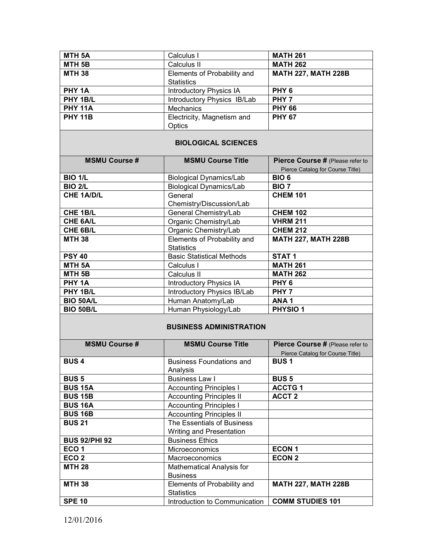| MTH <sub>5A</sub>    | Calculus I                                  | <b>MATH 261</b>                                                      |
|----------------------|---------------------------------------------|----------------------------------------------------------------------|
| MTH <sub>5B</sub>    | Calculus II                                 | <b>MATH 262</b>                                                      |
| <b>MTH 38</b>        | Elements of Probability and                 | <b>MATH 227, MATH 228B</b>                                           |
|                      | <b>Statistics</b>                           |                                                                      |
| PHY <sub>1A</sub>    | Introductory Physics IA                     | PHY <sub>6</sub>                                                     |
| PHY 1B/L             | Introductory Physics IB/Lab                 | PHY <sub>7</sub>                                                     |
| <b>PHY 11A</b>       | <b>Mechanics</b>                            | <b>PHY 66</b>                                                        |
| <b>PHY 11B</b>       | Electricity, Magnetism and                  | <b>PHY 67</b>                                                        |
|                      | Optics                                      |                                                                      |
|                      | <b>BIOLOGICAL SCIENCES</b>                  |                                                                      |
| <b>MSMU Course#</b>  | <b>MSMU Course Title</b>                    | Pierce Course # (Please refer to<br>Pierce Catalog for Course Title) |
| <b>BIO 1/L</b>       | <b>Biological Dynamics/Lab</b>              | BIO <sub>6</sub>                                                     |
| <b>BIO 2/L</b>       | <b>Biological Dynamics/Lab</b>              | BIO <sub>7</sub>                                                     |
| <b>CHE 1A/D/L</b>    | General                                     | <b>CHEM 101</b>                                                      |
|                      | Chemistry/Discussion/Lab                    |                                                                      |
| CHE 1B/L             | General Chemistry/Lab                       | <b>CHEM 102</b>                                                      |
| <b>CHE 6A/L</b>      | Organic Chemistry/Lab                       | <b>VHRM 211</b>                                                      |
| CHE 6B/L             | Organic Chemistry/Lab                       | <b>CHEM 212</b>                                                      |
| <b>MTH 38</b>        | Elements of Probability and                 | <b>MATH 227, MATH 228B</b>                                           |
|                      | <b>Statistics</b>                           |                                                                      |
| <b>PSY 40</b>        | <b>Basic Statistical Methods</b>            | STAT <sub>1</sub>                                                    |
| MTH <sub>5A</sub>    | Calculus I                                  | <b>MATH 261</b>                                                      |
| MTH <sub>5B</sub>    | Calculus II                                 | <b>MATH 262</b>                                                      |
| PHY <sub>1A</sub>    | <b>Introductory Physics IA</b>              | PHY <sub>6</sub>                                                     |
| PHY 1B/L             | Introductory Physics IB/Lab                 | PHY <sub>7</sub>                                                     |
| <b>BIO 50A/L</b>     | Human Anatomy/Lab                           | ANA <sub>1</sub>                                                     |
| <b>BIO 50B/L</b>     | Human Physiology/Lab                        | <b>PHYSIO1</b>                                                       |
|                      | <b>BUSINESS ADMINISTRATION</b>              |                                                                      |
| <b>MSMU Course #</b> | <b>MSMU Course Title</b>                    | Pierce Course # (Please refer to<br>Pierce Catalog for Course Title) |
| <b>BUS4</b>          | <b>Business Foundations and</b><br>Analysis | <b>BUS1</b>                                                          |
| <b>BUS 5</b>         | <b>Business Law I</b>                       | <b>BUS 5</b>                                                         |
| <b>BUS 15A</b>       | <b>Accounting Principles I</b>              | <b>ACCTG1</b>                                                        |
| <b>BUS 15B</b>       | <b>Accounting Principles II</b>             | <b>ACCT 2</b>                                                        |
| <b>BUS 16A</b>       | <b>Accounting Principles I</b>              |                                                                      |
| <b>BUS 16B</b>       | <b>Accounting Principles II</b>             |                                                                      |
| <b>BUS 21</b>        | The Essentials of Business                  |                                                                      |
|                      | Writing and Presentation                    |                                                                      |
| <b>BUS 92/PHI 92</b> | <b>Business Ethics</b>                      |                                                                      |
| ECO <sub>1</sub>     | Microeconomics                              | <b>ECON1</b>                                                         |
| ECO <sub>2</sub>     | Macroeconomics                              | <b>ECON 2</b>                                                        |
| <b>MTH 28</b>        | Mathematical Analysis for                   |                                                                      |
|                      | <b>Business</b>                             |                                                                      |
| <b>MTH 38</b>        | Elements of Probability and                 | <b>MATH 227, MATH 228B</b>                                           |

**Statistics** 

**SPE 10** Introduction to Communication **COMM STUDIES 101**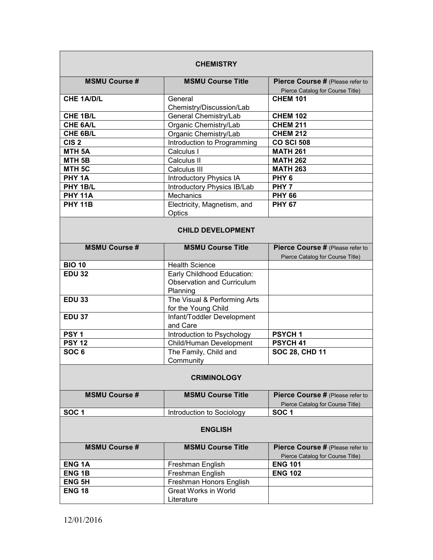| <b>CHEMISTRY</b>     |                                                     |                                                                      |  |  |  |
|----------------------|-----------------------------------------------------|----------------------------------------------------------------------|--|--|--|
| <b>MSMU Course#</b>  | <b>MSMU Course Title</b>                            | Pierce Course # (Please refer to<br>Pierce Catalog for Course Title) |  |  |  |
| <b>CHE 1A/D/L</b>    | General<br>Chemistry/Discussion/Lab                 | <b>CHEM 101</b>                                                      |  |  |  |
| CHE 1B/L             | General Chemistry/Lab                               | <b>CHEM 102</b>                                                      |  |  |  |
| CHE 6A/L             | Organic Chemistry/Lab                               | <b>CHEM 211</b>                                                      |  |  |  |
| CHE 6B/L             | Organic Chemistry/Lab                               | <b>CHEM 212</b>                                                      |  |  |  |
| CIS <sub>2</sub>     | Introduction to Programming                         | <b>CO SCI 508</b>                                                    |  |  |  |
| MTH <sub>5A</sub>    | Calculus I                                          | <b>MATH 261</b>                                                      |  |  |  |
| MTH <sub>5B</sub>    | Calculus II                                         | <b>MATH 262</b>                                                      |  |  |  |
| MTH <sub>5C</sub>    | Calculus III                                        | <b>MATH 263</b>                                                      |  |  |  |
| PHY <sub>1A</sub>    | <b>Introductory Physics IA</b>                      | PHY <sub>6</sub>                                                     |  |  |  |
| PHY 1B/L             |                                                     | PHY <sub>7</sub>                                                     |  |  |  |
|                      | Introductory Physics IB/Lab                         |                                                                      |  |  |  |
| <b>PHY 11A</b>       | <b>Mechanics</b>                                    | <b>PHY 66</b>                                                        |  |  |  |
| <b>PHY 11B</b>       | Electricity, Magnetism, and<br>Optics               | <b>PHY 67</b>                                                        |  |  |  |
|                      | <b>CHILD DEVELOPMENT</b>                            |                                                                      |  |  |  |
| <b>MSMU Course #</b> | <b>MSMU Course Title</b>                            | Pierce Course # (Please refer to<br>Pierce Catalog for Course Title) |  |  |  |
| <b>BIO 10</b>        | <b>Health Science</b>                               |                                                                      |  |  |  |
| <b>EDU 32</b>        | Early Childhood Education:                          |                                                                      |  |  |  |
|                      | <b>Observation and Curriculum</b><br>Planning       |                                                                      |  |  |  |
| <b>EDU 33</b>        | The Visual & Performing Arts<br>for the Young Child |                                                                      |  |  |  |
| <b>EDU 37</b>        | Infant/Toddler Development<br>and Care              |                                                                      |  |  |  |
| PSY <sub>1</sub>     | Introduction to Psychology                          | <b>PSYCH1</b>                                                        |  |  |  |
| <b>PSY 12</b>        | Child/Human Development                             | PSYCH 41                                                             |  |  |  |
| SOC <sub>6</sub>     | The Family, Child and<br>Community                  | <b>SOC 28, CHD 11</b>                                                |  |  |  |
| <b>CRIMINOLOGY</b>   |                                                     |                                                                      |  |  |  |
| <b>MSMU Course#</b>  | <b>MSMU Course Title</b>                            | Pierce Course # (Please refer to<br>Pierce Catalog for Course Title) |  |  |  |
| SOC <sub>1</sub>     | Introduction to Sociology                           | SOC <sub>1</sub>                                                     |  |  |  |
| <b>ENGLISH</b>       |                                                     |                                                                      |  |  |  |
| <b>MSMU Course#</b>  | <b>MSMU Course Title</b>                            | Pierce Course # (Please refer to<br>Pierce Catalog for Course Title) |  |  |  |
| <b>ENG1A</b>         | Freshman English                                    | <b>ENG 101</b>                                                       |  |  |  |
| <b>ENG1B</b>         | Freshman English                                    | <b>ENG 102</b>                                                       |  |  |  |
| <b>ENG 5H</b>        | Freshman Honors English                             |                                                                      |  |  |  |
| <b>ENG 18</b>        | <b>Great Works in World</b>                         |                                                                      |  |  |  |
|                      | Literature                                          |                                                                      |  |  |  |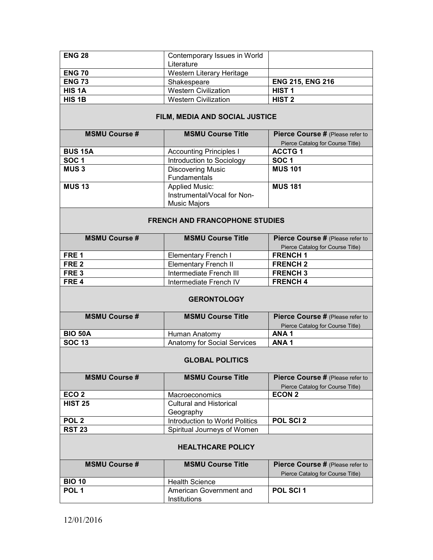| <b>ENG 28</b> | Contemporary Issues in World |                         |
|---------------|------------------------------|-------------------------|
|               | Literature                   |                         |
| <b>ENG 70</b> | Western Literary Heritage    |                         |
| <b>ENG 73</b> | Shakespeare                  | <b>ENG 215, ENG 216</b> |
| <b>HIS 1A</b> | <b>Western Civilization</b>  | <b>HIST 1</b>           |
| <b>HIS 1B</b> | <b>Western Civilization</b>  | <b>HIST 2</b>           |

## **FILM, MEDIA AND SOCIAL JUSTICE**

| <b>MSMU Course #</b> | <b>MSMU Course Title</b>    | Pierce Course # (Please refer to |
|----------------------|-----------------------------|----------------------------------|
|                      |                             | Pierce Catalog for Course Title) |
| <b>BUS 15A</b>       | Accounting Principles I     | <b>ACCTG1</b>                    |
| SOC <sub>1</sub>     | Introduction to Sociology   | <b>SOC1</b>                      |
| <b>MUS3</b>          | <b>Discovering Music</b>    | <b>MUS 101</b>                   |
|                      | <b>Fundamentals</b>         |                                  |
| <b>MUS 13</b>        | <b>Applied Music:</b>       | <b>MUS 181</b>                   |
|                      | Instrumental/Vocal for Non- |                                  |
|                      | <b>Music Majors</b>         |                                  |

### **FRENCH AND FRANCOPHONE STUDIES**

| <b>MSMU Course #</b> | <b>MSMU Course Title</b> | Pierce Course # (Please refer to |
|----------------------|--------------------------|----------------------------------|
|                      |                          | Pierce Catalog for Course Title) |
| FRE <sub>1</sub>     | Elementary French I      | <b>FRENCH1</b>                   |
| FRE 2                | Elementary French II     | <b>FRENCH 2</b>                  |
| FRE 3                | Intermediate French III  | <b>FRENCH 3</b>                  |
| FRE <sub>4</sub>     | Intermediate French IV   | <b>FRENCH4</b>                   |

### **GERONTOLOGY**

| <b>MSMU Course #</b> | <b>MSMU Course Title</b>    | Pierce Course # (Please refer to |
|----------------------|-----------------------------|----------------------------------|
|                      |                             | Pierce Catalog for Course Title) |
| <b>BIO 50A</b>       | Human Anatomy               | ANA <sub>1</sub>                 |
| <b>SOC 13</b>        | Anatomy for Social Services | ANA <sub>1</sub>                 |

## **GLOBAL POLITICS**

| <b>MSMU Course #</b> | <b>MSMU Course Title</b>       | Pierce Course # (Please refer to |
|----------------------|--------------------------------|----------------------------------|
|                      |                                | Pierce Catalog for Course Title) |
| ECO <sub>2</sub>     | <b>Macroeconomics</b>          | <b>ECON 2</b>                    |
| <b>HIST 25</b>       | <b>Cultural and Historical</b> |                                  |
|                      | Geography                      |                                  |
| POL <sub>2</sub>     | Introduction to World Politics | <b>POL SCI 2</b>                 |
| <b>RST 23</b>        | Spiritual Journeys of Women    |                                  |

### **HEALTHCARE POLICY**

| <b>MSMU Course #</b> | <b>MSMU Course Title</b> | <b>Pierce Course # (Please refer to</b><br>Pierce Catalog for Course Title) |
|----------------------|--------------------------|-----------------------------------------------------------------------------|
| <b>BIO 10</b>        | <b>Health Science</b>    |                                                                             |
| POL <sub>1</sub>     | American Government and  | <b>POL SCI 1</b>                                                            |
|                      | Institutions             |                                                                             |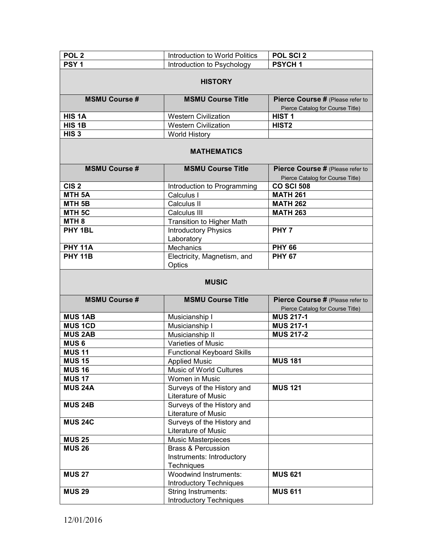| POL <sub>2</sub>               | Introduction to World Politics                                           | POL SCI 2                                                            |
|--------------------------------|--------------------------------------------------------------------------|----------------------------------------------------------------------|
| PSY <sub>1</sub>               | Introduction to Psychology                                               | <b>PSYCH1</b>                                                        |
|                                |                                                                          |                                                                      |
| <b>HISTORY</b>                 |                                                                          |                                                                      |
| <b>MSMU Course#</b>            | <b>MSMU Course Title</b>                                                 | Pierce Course # (Please refer to<br>Pierce Catalog for Course Title) |
| HIS <sub>1</sub> A             | <b>Western Civilization</b>                                              | HIST <sub>1</sub>                                                    |
| HIS <sub>1B</sub>              | <b>Western Civilization</b>                                              | HIST <sub>2</sub>                                                    |
| HIS <sub>3</sub>               | <b>World History</b>                                                     |                                                                      |
| <b>MATHEMATICS</b>             |                                                                          |                                                                      |
| <b>MSMU Course #</b>           | <b>MSMU Course Title</b>                                                 | Pierce Course # (Please refer to<br>Pierce Catalog for Course Title) |
| CIS <sub>2</sub>               | Introduction to Programming                                              | <b>CO SCI 508</b>                                                    |
| <b>MTH 5A</b>                  | Calculus I                                                               | <b>MATH 261</b>                                                      |
| MTH <sub>5B</sub>              | Calculus II                                                              | <b>MATH 262</b>                                                      |
| MTH <sub>5C</sub>              | Calculus III                                                             | <b>MATH 263</b>                                                      |
| MTH <sub>8</sub>               | <b>Transition to Higher Math</b>                                         |                                                                      |
| PHY 1BL                        | <b>Introductory Physics</b><br>Laboratory                                | PHY <sub>7</sub>                                                     |
| <b>PHY 11A</b>                 | Mechanics                                                                | <b>PHY 66</b>                                                        |
| <b>PHY 11B</b>                 | Electricity, Magnetism, and<br>Optics                                    | <b>PHY 67</b>                                                        |
| <b>MUSIC</b>                   |                                                                          |                                                                      |
|                                |                                                                          |                                                                      |
| <b>MSMU Course#</b>            | <b>MSMU Course Title</b>                                                 | Pierce Course # (Please refer to<br>Pierce Catalog for Course Title) |
| <b>MUS 1AB</b>                 | Musicianship I                                                           | <b>MUS 217-1</b>                                                     |
| <b>MUS 1CD</b>                 | Musicianship I                                                           | <b>MUS 217-1</b>                                                     |
| <b>MUS 2AB</b>                 | Musicianship II                                                          | <b>MUS 217-2</b>                                                     |
| <b>MUS6</b>                    | <b>Varieties of Music</b>                                                |                                                                      |
| <b>MUS 11</b>                  |                                                                          |                                                                      |
| <b>MUS 15</b>                  | <b>Functional Keyboard Skills</b><br><b>Applied Music</b>                | <b>MUS 181</b>                                                       |
| <b>MUS 16</b>                  | Music of World Cultures                                                  |                                                                      |
| <b>MUS 17</b>                  | Women in Music                                                           |                                                                      |
| <b>MUS 24A</b>                 | Surveys of the History and                                               | <b>MUS 121</b>                                                       |
|                                | Literature of Music                                                      |                                                                      |
| <b>MUS 24B</b>                 | Surveys of the History and                                               |                                                                      |
| <b>MUS 24C</b>                 | Literature of Music<br>Surveys of the History and<br>Literature of Music |                                                                      |
|                                |                                                                          |                                                                      |
| <b>MUS 25</b><br><b>MUS 26</b> | Music Masterpieces<br><b>Brass &amp; Percussion</b>                      |                                                                      |
|                                |                                                                          |                                                                      |
|                                | Instruments: Introductory<br>Techniques                                  |                                                                      |
| <b>MUS 27</b>                  | <b>Woodwind Instruments:</b>                                             | <b>MUS 621</b>                                                       |
|                                | <b>Introductory Techniques</b>                                           |                                                                      |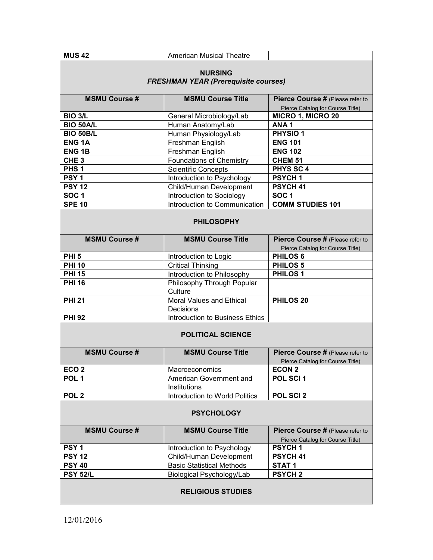| <b>MUS 42</b>                                                 | <b>American Musical Theatre</b>              |                                                                      |
|---------------------------------------------------------------|----------------------------------------------|----------------------------------------------------------------------|
| <b>NURSING</b><br><b>FRESHMAN YEAR (Prerequisite courses)</b> |                                              |                                                                      |
| <b>MSMU Course #</b>                                          | <b>MSMU Course Title</b>                     | Pierce Course # (Please refer to                                     |
|                                                               |                                              | Pierce Catalog for Course Title)                                     |
| <b>BIO 3/L</b>                                                | General Microbiology/Lab                     | <b>MICRO 1, MICRO 20</b>                                             |
| <b>BIO 50A/L</b>                                              | Human Anatomy/Lab                            | ANA <sub>1</sub>                                                     |
| <b>BIO 50B/L</b>                                              | Human Physiology/Lab                         | <b>PHYSIO1</b>                                                       |
| <b>ENG1A</b>                                                  | Freshman English                             | <b>ENG 101</b>                                                       |
| <b>ENG1B</b>                                                  | Freshman English                             | <b>ENG 102</b>                                                       |
| CHE <sub>3</sub>                                              | Foundations of Chemistry                     | <b>CHEM 51</b>                                                       |
| PHS <sub>1</sub>                                              | <b>Scientific Concepts</b>                   | <b>PHYS SC 4</b>                                                     |
| PSY <sub>1</sub>                                              | Introduction to Psychology                   | <b>PSYCH1</b>                                                        |
| <b>PSY 12</b>                                                 | Child/Human Development                      | PSYCH <sub>41</sub>                                                  |
| SOC <sub>1</sub>                                              | Introduction to Sociology                    | <b>SOC1</b>                                                          |
| <b>SPE 10</b>                                                 | Introduction to Communication                | <b>COMM STUDIES 101</b>                                              |
| <b>PHILOSOPHY</b>                                             |                                              |                                                                      |
| <b>MSMU Course #</b>                                          | <b>MSMU Course Title</b>                     | Pierce Course # (Please refer to<br>Pierce Catalog for Course Title) |
| <b>PHI 5</b>                                                  | Introduction to Logic                        | PHILOS <sub>6</sub>                                                  |
| <b>PHI 10</b>                                                 | <b>Critical Thinking</b>                     | PHILOS <sub>5</sub>                                                  |
| <b>PHI 15</b>                                                 | Introduction to Philosophy                   | <b>PHILOS1</b>                                                       |
| <b>PHI 16</b>                                                 | Philosophy Through Popular<br>Culture        |                                                                      |
| <b>PHI 21</b>                                                 | <b>Moral Values and Ethical</b><br>Decisions | PHILOS <sub>20</sub>                                                 |
| <b>PHI 92</b>                                                 | Introduction to Business Ethics              |                                                                      |
|                                                               | <b>POLITICAL SCIENCE</b>                     |                                                                      |
| <b>MSMU Course #</b>                                          | <b>MSMU Course Title</b>                     | Pierce Course # (Please refer to<br>Pierce Catalog for Course Title) |
| ECO <sub>2</sub>                                              | Macroeconomics                               | <b>ECON 2</b>                                                        |
| POL <sub>1</sub>                                              | American Government and<br>Institutions      | POL SCI 1                                                            |
| POL <sub>2</sub>                                              | Introduction to World Politics               | POL SCI 2                                                            |
| <b>PSYCHOLOGY</b>                                             |                                              |                                                                      |
| <b>MSMU Course #</b>                                          | <b>MSMU Course Title</b>                     | Pierce Course # (Please refer to<br>Pierce Catalog for Course Title) |
| PSY <sub>1</sub>                                              | Introduction to Psychology                   | PSYCH <sub>1</sub>                                                   |
| <b>PSY 12</b>                                                 | Child/Human Development                      | PSYCH 41                                                             |
| <b>PSY 40</b>                                                 | <b>Basic Statistical Methods</b>             | STAT <sub>1</sub>                                                    |
| <b>PSY 52/L</b>                                               | Biological Psychology/Lab                    | <b>PSYCH2</b>                                                        |
| <b>RELIGIOUS STUDIES</b>                                      |                                              |                                                                      |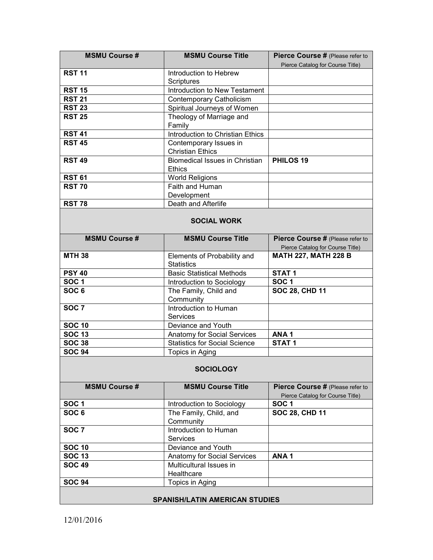| <b>MSMU Course #</b>                  | <b>MSMU Course Title</b>                    | Pierce Course # (Please refer to |
|---------------------------------------|---------------------------------------------|----------------------------------|
| <b>RST 11</b>                         |                                             | Pierce Catalog for Course Title) |
|                                       | Introduction to Hebrew<br><b>Scriptures</b> |                                  |
| <b>RST 15</b>                         | Introduction to New Testament               |                                  |
| <b>RST 21</b>                         | <b>Contemporary Catholicism</b>             |                                  |
| <b>RST 23</b>                         | Spiritual Journeys of Women                 |                                  |
| <b>RST 25</b>                         | Theology of Marriage and<br>Family          |                                  |
| <b>RST 41</b>                         | Introduction to Christian Ethics            |                                  |
| <b>RST 45</b>                         | Contemporary Issues in                      |                                  |
|                                       | <b>Christian Ethics</b>                     |                                  |
| <b>RST 49</b>                         | <b>Biomedical Issues in Christian</b>       | PHILOS <sub>19</sub>             |
|                                       | <b>Ethics</b>                               |                                  |
| <b>RST 61</b>                         | <b>World Religions</b>                      |                                  |
| <b>RST 70</b>                         | Faith and Human                             |                                  |
|                                       | Development                                 |                                  |
| <b>RST 78</b>                         | Death and Afterlife                         |                                  |
|                                       |                                             |                                  |
|                                       | <b>SOCIAL WORK</b>                          |                                  |
| <b>MSMU Course#</b>                   | <b>MSMU Course Title</b>                    | Pierce Course # (Please refer to |
|                                       |                                             | Pierce Catalog for Course Title) |
| <b>MTH 38</b>                         | Elements of Probability and                 | <b>MATH 227, MATH 228 B</b>      |
|                                       | <b>Statistics</b>                           |                                  |
| <b>PSY 40</b>                         | <b>Basic Statistical Methods</b>            | STAT <sub>1</sub>                |
| <b>SOC1</b>                           | Introduction to Sociology                   | <b>SOC1</b>                      |
| SOC $6$                               | The Family, Child and<br>Community          | <b>SOC 28, CHD 11</b>            |
| SOC <sub>7</sub>                      | Introduction to Human                       |                                  |
|                                       | <b>Services</b>                             |                                  |
| <b>SOC 10</b>                         | Deviance and Youth                          |                                  |
| <b>SOC 13</b>                         | Anatomy for Social Services                 | ANA <sub>1</sub>                 |
| <b>SOC 38</b>                         | <b>Statistics for Social Science</b>        | STAT <sub>1</sub>                |
| <b>SOC 94</b>                         | Topics in Aging                             |                                  |
|                                       |                                             |                                  |
|                                       | <b>SOCIOLOGY</b>                            |                                  |
| <b>MSMU Course #</b>                  | <b>MSMU Course Title</b>                    | Pierce Course # (Please refer to |
|                                       |                                             | Pierce Catalog for Course Title) |
| <b>SOC1</b>                           | Introduction to Sociology                   | SOC <sub>1</sub>                 |
| SOC <sub>6</sub>                      | The Family, Child, and                      | <b>SOC 28, CHD 11</b>            |
|                                       | Community                                   |                                  |
| SOC <sub>7</sub>                      | Introduction to Human                       |                                  |
|                                       | <b>Services</b>                             |                                  |
| <b>SOC 10</b>                         | Deviance and Youth                          |                                  |
| <b>SOC 13</b>                         | Anatomy for Social Services                 | ANA <sub>1</sub>                 |
| <b>SOC 49</b>                         | Multicultural Issues in                     |                                  |
|                                       | Healthcare                                  |                                  |
| <b>SOC 94</b>                         | Topics in Aging                             |                                  |
|                                       |                                             |                                  |
| <b>SPANISH/LATIN AMERICAN STUDIES</b> |                                             |                                  |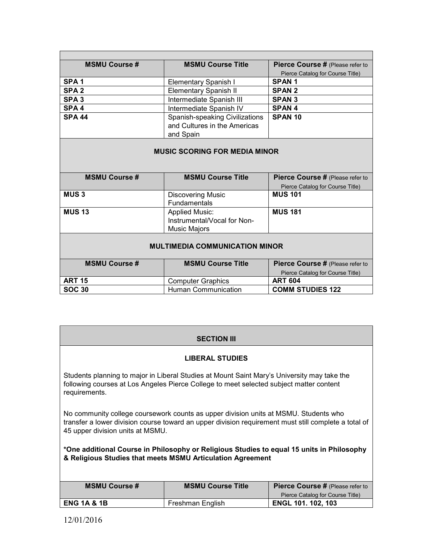| <b>MSMU Course #</b>                  | <b>MSMU Course Title</b>                                                    | Pierce Course # (Please refer to |
|---------------------------------------|-----------------------------------------------------------------------------|----------------------------------|
|                                       |                                                                             | Pierce Catalog for Course Title) |
| SPA <sub>1</sub>                      | Elementary Spanish I                                                        | <b>SPAN1</b>                     |
| SPA <sub>2</sub>                      | <b>Elementary Spanish II</b>                                                | <b>SPAN 2</b>                    |
| SPA <sub>3</sub>                      | Intermediate Spanish III                                                    | <b>SPAN 3</b>                    |
| SPA <sub>4</sub>                      | Intermediate Spanish IV                                                     | <b>SPAN4</b>                     |
| <b>SPA 44</b>                         | Spanish-speaking Civilizations<br>and Cultures in the Americas<br>and Spain | SPAN <sub>10</sub>               |
| <b>MUSIC SCORING FOR MEDIA MINOR</b>  |                                                                             |                                  |
| <b>MSMU Course #</b>                  | <b>MSMU Course Title</b>                                                    | Pierce Course # (Please refer to |
|                                       |                                                                             | Pierce Catalog for Course Title) |
| <b>MUS3</b>                           | <b>Discovering Music</b><br><b>Fundamentals</b>                             | <b>MUS 101</b>                   |
| <b>MUS 13</b>                         | <b>Applied Music:</b>                                                       | <b>MUS 181</b>                   |
|                                       | Instrumental/Vocal for Non-                                                 |                                  |
|                                       | Music Majors                                                                |                                  |
| <b>MULTIMEDIA COMMUNICATION MINOR</b> |                                                                             |                                  |
| <b>MSMU Course #</b>                  | <b>MSMU Course Title</b>                                                    | Pierce Course # (Please refer to |
|                                       |                                                                             | Pierce Catalog for Course Title) |
| <b>ART 15</b>                         | <b>Computer Graphics</b>                                                    | <b>ART 604</b>                   |
| <b>SOC 30</b>                         | <b>Human Communication</b>                                                  | <b>COMM STUDIES 122</b>          |

### **SECTION III**

### **LIBERAL STUDIES**

Students planning to major in Liberal Studies at Mount Saint Mary's University may take the following courses at Los Angeles Pierce College to meet selected subject matter content requirements.

No community college coursework counts as upper division units at MSMU. Students who transfer a lower division course toward an upper division requirement must still complete a total of 45 upper division units at MSMU.

**\*One additional Course in Philosophy or Religious Studies to equal 15 units in Philosophy & Religious Studies that meets MSMU Articulation Agreement**

| <b>MSMU Course #</b>   | <b>MSMU Course Title</b> | <b>Pierce Course #</b> (Please refer to |
|------------------------|--------------------------|-----------------------------------------|
|                        |                          | Pierce Catalog for Course Title)        |
| <b>ENG 1A &amp; 1B</b> | Freshman English         | <b>ENGL 101. 102, 103</b>               |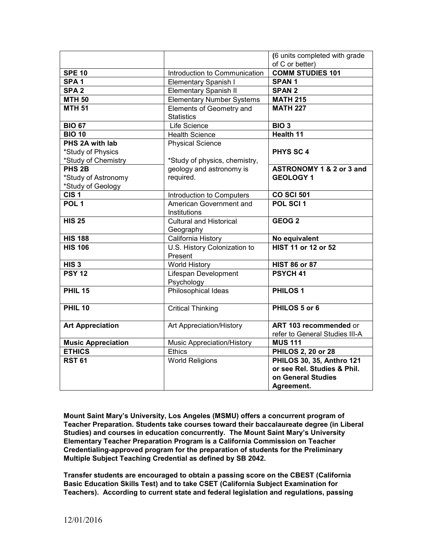|                           |                                               | (6 units completed with grade  |
|---------------------------|-----------------------------------------------|--------------------------------|
|                           |                                               | of C or better)                |
| <b>SPE 10</b>             | Introduction to Communication                 | <b>COMM STUDIES 101</b>        |
| SPA <sub>1</sub>          | <b>Elementary Spanish I</b>                   | <b>SPAN1</b>                   |
| SPA <sub>2</sub>          | <b>Elementary Spanish II</b>                  | <b>SPAN 2</b>                  |
| <b>MTH 50</b>             | <b>Elementary Number Systems</b>              | <b>MATH 215</b>                |
| <b>MTH 51</b>             | Elements of Geometry and<br><b>Statistics</b> | <b>MATH 227</b>                |
| <b>BIO 67</b>             | Life Science                                  | BIO <sub>3</sub>               |
| <b>BIO 10</b>             | <b>Health Science</b>                         | <b>Health 11</b>               |
| PHS 2A with lab           | <b>Physical Science</b>                       |                                |
| *Study of Physics         |                                               | <b>PHYS SC 4</b>               |
| *Study of Chemistry       | *Study of physics, chemistry,                 |                                |
| PHS <sub>2B</sub>         | geology and astronomy is                      | ASTRONOMY 1 & 2 or 3 and       |
| *Study of Astronomy       | required.                                     | <b>GEOLOGY 1</b>               |
| *Study of Geology         |                                               |                                |
| CIS <sub>1</sub>          | Introduction to Computers                     | <b>CO SCI 501</b>              |
| POL <sub>1</sub>          | American Government and                       | POL SCI 1                      |
|                           | Institutions                                  |                                |
| <b>HIS 25</b>             | <b>Cultural and Historical</b>                | GEOG <sub>2</sub>              |
|                           | Geography                                     |                                |
| <b>HIS 188</b>            | California History                            | No equivalent                  |
| <b>HIS 106</b>            | U.S. History Colonization to                  | <b>HIST 11 or 12 or 52</b>     |
|                           | Present                                       |                                |
| HIS <sub>3</sub>          | <b>World History</b>                          | <b>HIST 86 or 87</b>           |
| <b>PSY 12</b>             | Lifespan Development                          | PSYCH <sub>41</sub>            |
|                           | Psychology                                    |                                |
| <b>PHIL 15</b>            | Philosophical Ideas                           | <b>PHILOS1</b>                 |
| <b>PHIL 10</b>            | <b>Critical Thinking</b>                      | PHILOS 5 or 6                  |
|                           |                                               |                                |
| <b>Art Appreciation</b>   | Art Appreciation/History                      | ART 103 recommended or         |
|                           |                                               | refer to General Studies III-A |
| <b>Music Appreciation</b> | Music Appreciation/History                    | <b>MUS 111</b>                 |
| <b>ETHICS</b>             | <b>Ethics</b>                                 | <b>PHILOS 2, 20 or 28</b>      |
| <b>RST 61</b>             | <b>World Religions</b>                        | PHILOS 30, 35, Anthro 121      |
|                           |                                               | or see Rel. Studies & Phil.    |
|                           |                                               | on General Studies             |
|                           |                                               | Agreement.                     |

**Mount Saint Mary's University, Los Angeles (MSMU) offers a concurrent program of Teacher Preparation. Students take courses toward their baccalaureate degree (in Liberal Studies) and courses in education concurrently. The Mount Saint Mary's University Elementary Teacher Preparation Program is a California Commission on Teacher Credentialing-approved program for the preparation of students for the Preliminary Multiple Subject Teaching Credential as defined by SB 2042.**

**Transfer students are encouraged to obtain a passing score on the CBEST (California Basic Education Skills Test) and to take CSET (California Subject Examination for Teachers). According to current state and federal legislation and regulations, passing**